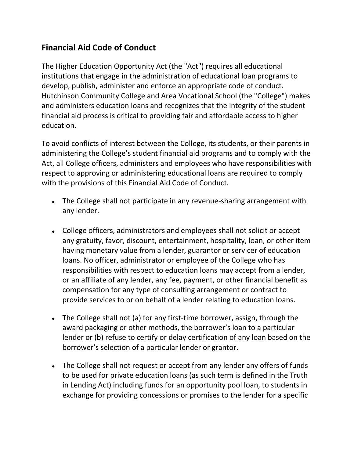## **Financial Aid Code of Conduct**

The Higher Education Opportunity Act (the "Act") requires all educational institutions that engage in the administration of educational loan programs to develop, publish, administer and enforce an appropriate code of conduct. Hutchinson Community College and Area Vocational School (the "College") makes and administers education loans and recognizes that the integrity of the student financial aid process is critical to providing fair and affordable access to higher education.

To avoid conflicts of interest between the College, its students, or their parents in administering the College's student financial aid programs and to comply with the Act, all College officers, administers and employees who have responsibilities with respect to approving or administering educational loans are required to comply with the provisions of this Financial Aid Code of Conduct.

- The College shall not participate in any revenue-sharing arrangement with any lender.
- College officers, administrators and employees shall not solicit or accept any gratuity, favor, discount, entertainment, hospitality, loan, or other item having monetary value from a lender, guarantor or servicer of education loans. No officer, administrator or employee of the College who has responsibilities with respect to education loans may accept from a lender, or an affiliate of any lender, any fee, payment, or other financial benefit as compensation for any type of consulting arrangement or contract to provide services to or on behalf of a lender relating to education loans.
- The College shall not (a) for any first-time borrower, assign, through the award packaging or other methods, the borrower's loan to a particular lender or (b) refuse to certify or delay certification of any loan based on the borrower's selection of a particular lender or grantor.
- The College shall not request or accept from any lender any offers of funds to be used for private education loans (as such term is defined in the Truth in Lending Act) including funds for an opportunity pool loan, to students in exchange for providing concessions or promises to the lender for a specific